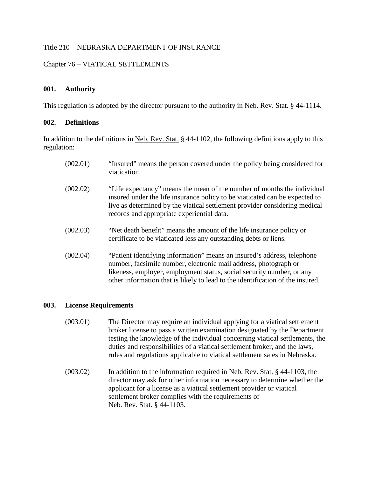## Title 210 – NEBRASKA DEPARTMENT OF INSURANCE

## Chapter 76 – VIATICAL SETTLEMENTS

### **001. Authority**

This regulation is adopted by the director pursuant to the authority in Neb. Rev. Stat. § 44-1114.

### **002. Definitions**

In addition to the definitions in Neb. Rev. Stat. § 44-1102, the following definitions apply to this regulation:

| (002.01) | "Insured" means the person covered under the policy being considered for<br>viatication.                                                                                                                                                                                                               |
|----------|--------------------------------------------------------------------------------------------------------------------------------------------------------------------------------------------------------------------------------------------------------------------------------------------------------|
| (002.02) | "Life expectancy" means the mean of the number of months the individual<br>insured under the life insurance policy to be viaticated can be expected to<br>live as determined by the viatical settlement provider considering medical<br>records and appropriate experiential data.                     |
| (002.03) | "Net death benefit" means the amount of the life insurance policy or<br>certificate to be viaticated less any outstanding debts or liens.                                                                                                                                                              |
| (002.04) | "Patient identifying information" means an insured's address, telephone<br>number, facsimile number, electronic mail address, photograph or<br>likeness, employer, employment status, social security number, or any<br>other information that is likely to lead to the identification of the insured. |

## **003. License Requirements**

- (003.01) The Director may require an individual applying for a viatical settlement broker license to pass a written examination designated by the Department testing the knowledge of the individual concerning viatical settlements, the duties and responsibilities of a viatical settlement broker, and the laws, rules and regulations applicable to viatical settlement sales in Nebraska.
- (003.02) In addition to the information required in Neb. Rev. Stat. § 44-1103, the director may ask for other information necessary to determine whether the applicant for a license as a viatical settlement provider or viatical settlement broker complies with the requirements of Neb. Rev. Stat. § 44-1103.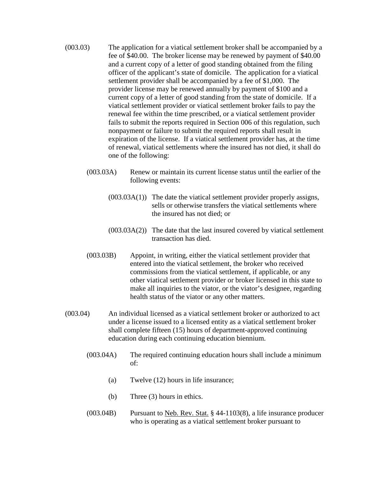- (003.03) The application for a viatical settlement broker shall be accompanied by a fee of \$40.00. The broker license may be renewed by payment of \$40.00 and a current copy of a letter of good standing obtained from the filing officer of the applicant's state of domicile. The application for a viatical settlement provider shall be accompanied by a fee of \$1,000. The provider license may be renewed annually by payment of \$100 and a current copy of a letter of good standing from the state of domicile. If a viatical settlement provider or viatical settlement broker fails to pay the renewal fee within the time prescribed, or a viatical settlement provider fails to submit the reports required in Section 006 of this regulation, such nonpayment or failure to submit the required reports shall result in expiration of the license. If a viatical settlement provider has, at the time of renewal, viatical settlements where the insured has not died, it shall do one of the following:
	- (003.03A) Renew or maintain its current license status until the earlier of the following events:
		- (003.03A(1)) The date the viatical settlement provider properly assigns, sells or otherwise transfers the viatical settlements where the insured has not died; or
		- (003.03A(2)) The date that the last insured covered by viatical settlement transaction has died.
	- (003.03B) Appoint, in writing, either the viatical settlement provider that entered into the viatical settlement, the broker who received commissions from the viatical settlement, if applicable, or any other viatical settlement provider or broker licensed in this state to make all inquiries to the viator, or the viator's designee, regarding health status of the viator or any other matters.
- (003.04) An individual licensed as a viatical settlement broker or authorized to act under a license issued to a licensed entity as a viatical settlement broker shall complete fifteen (15) hours of department-approved continuing education during each continuing education biennium.
	- (003.04A) The required continuing education hours shall include a minimum of:
		- (a) Twelve (12) hours in life insurance;
		- (b) Three (3) hours in ethics.
	- $(003.04B)$  Pursuant to Neb. Rev. Stat. § 44-1103(8), a life insurance producer who is operating as a viatical settlement broker pursuant to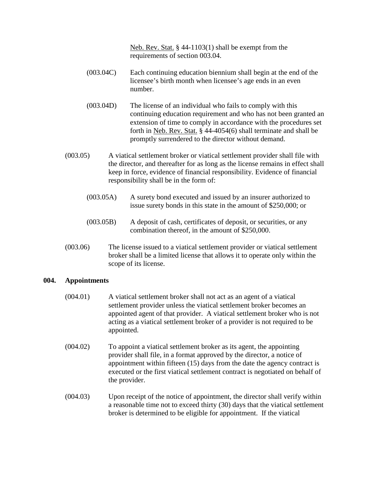Neb. Rev. Stat. § 44-1103(1) shall be exempt from the requirements of section 003.04.

- (003.04C) Each continuing education biennium shall begin at the end of the licensee's birth month when licensee's age ends in an even number.
- (003.04D) The license of an individual who fails to comply with this continuing education requirement and who has not been granted an extension of time to comply in accordance with the procedures set forth in Neb. Rev. Stat. § 44-4054(6) shall terminate and shall be promptly surrendered to the director without demand.
- (003.05) A viatical settlement broker or viatical settlement provider shall file with the director, and thereafter for as long as the license remains in effect shall keep in force, evidence of financial responsibility. Evidence of financial responsibility shall be in the form of:
	- (003.05A) A surety bond executed and issued by an insurer authorized to issue surety bonds in this state in the amount of \$250,000; or
	- (003.05B) A deposit of cash, certificates of deposit, or securities, or any combination thereof, in the amount of \$250,000.
- (003.06) The license issued to a viatical settlement provider or viatical settlement broker shall be a limited license that allows it to operate only within the scope of its license.

## **004. Appointments**

- (004.01) A viatical settlement broker shall not act as an agent of a viatical settlement provider unless the viatical settlement broker becomes an appointed agent of that provider. A viatical settlement broker who is not acting as a viatical settlement broker of a provider is not required to be appointed.
- (004.02) To appoint a viatical settlement broker as its agent, the appointing provider shall file, in a format approved by the director, a notice of appointment within fifteen (15) days from the date the agency contract is executed or the first viatical settlement contract is negotiated on behalf of the provider.
- (004.03) Upon receipt of the notice of appointment, the director shall verify within a reasonable time not to exceed thirty (30) days that the viatical settlement broker is determined to be eligible for appointment. If the viatical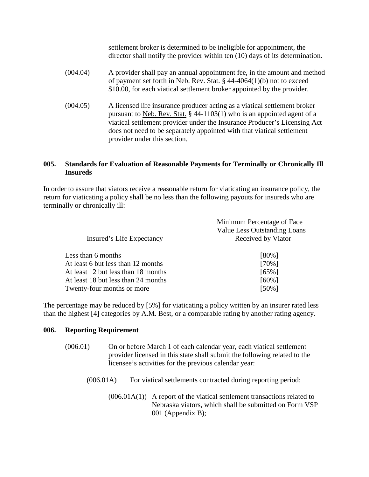settlement broker is determined to be ineligible for appointment, the director shall notify the provider within ten (10) days of its determination.

- (004.04) A provider shall pay an annual appointment fee, in the amount and method of payment set forth in Neb. Rev. Stat. § 44-4064(1)(b) not to exceed \$10.00, for each viatical settlement broker appointed by the provider.
- (004.05) A licensed life insurance producer acting as a viatical settlement broker pursuant to Neb. Rev. Stat. § 44-1103(1) who is an appointed agent of a viatical settlement provider under the Insurance Producer's Licensing Act does not need to be separately appointed with that viatical settlement provider under this section.

## **005. Standards for Evaluation of Reasonable Payments for Terminally or Chronically Ill Insureds**

In order to assure that viators receive a reasonable return for viaticating an insurance policy, the return for viaticating a policy shall be no less than the following payouts for insureds who are terminally or chronically ill:

|                                     | Minimum Percentage of Face<br><b>Value Less Outstanding Loans</b> |
|-------------------------------------|-------------------------------------------------------------------|
| Insured's Life Expectancy           | Received by Viator                                                |
| Less than 6 months                  | $[80\%]$                                                          |
| At least 6 but less than 12 months  | $[70\%]$                                                          |
| At least 12 but less than 18 months | $[65\%]$                                                          |
| At least 18 but less than 24 months | $[60\%]$                                                          |
| Twenty-four months or more          | $[50\%]$                                                          |

The percentage may be reduced by [5%] for viaticating a policy written by an insurer rated less than the highest [4] categories by A.M. Best, or a comparable rating by another rating agency.

## **006. Reporting Requirement**

- (006.01) On or before March 1 of each calendar year, each viatical settlement provider licensed in this state shall submit the following related to the licensee's activities for the previous calendar year:
	- (006.01A) For viatical settlements contracted during reporting period:
		- $(006.01A(1))$  A report of the viatical settlement transactions related to Nebraska viators, which shall be submitted on Form VSP 001 (Appendix B);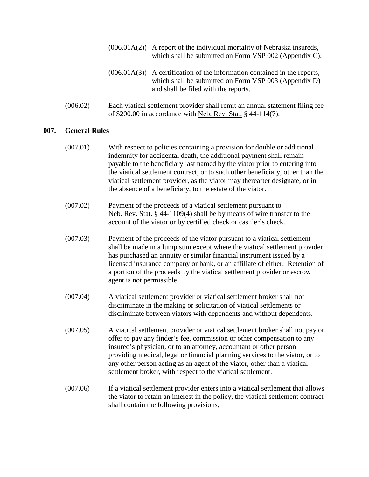- $(006.01A(2))$  A report of the individual mortality of Nebraska insureds, which shall be submitted on Form VSP 002 (Appendix C);
- (006.01A(3)) A certification of the information contained in the reports, which shall be submitted on Form VSP 003 (Appendix D) and shall be filed with the reports.
- (006.02) Each viatical settlement provider shall remit an annual statement filing fee of \$200.00 in accordance with Neb. Rev. Stat. § 44-114(7).

## **007. General Rules**

- (007.01) With respect to policies containing a provision for double or additional indemnity for accidental death, the additional payment shall remain payable to the beneficiary last named by the viator prior to entering into the viatical settlement contract, or to such other beneficiary, other than the viatical settlement provider, as the viator may thereafter designate, or in the absence of a beneficiary, to the estate of the viator.
- (007.02) Payment of the proceeds of a viatical settlement pursuant to Neb. Rev. Stat. § 44-1109(4) shall be by means of wire transfer to the account of the viator or by certified check or cashier's check.
- (007.03) Payment of the proceeds of the viator pursuant to a viatical settlement shall be made in a lump sum except where the viatical settlement provider has purchased an annuity or similar financial instrument issued by a licensed insurance company or bank, or an affiliate of either. Retention of a portion of the proceeds by the viatical settlement provider or escrow agent is not permissible.
- (007.04) A viatical settlement provider or viatical settlement broker shall not discriminate in the making or solicitation of viatical settlements or discriminate between viators with dependents and without dependents.
- (007.05) A viatical settlement provider or viatical settlement broker shall not pay or offer to pay any finder's fee, commission or other compensation to any insured's physician, or to an attorney, accountant or other person providing medical, legal or financial planning services to the viator, or to any other person acting as an agent of the viator, other than a viatical settlement broker, with respect to the viatical settlement.
- (007.06) If a viatical settlement provider enters into a viatical settlement that allows the viator to retain an interest in the policy, the viatical settlement contract shall contain the following provisions;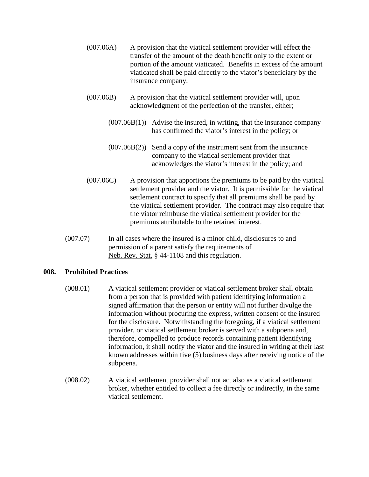- (007.06A) A provision that the viatical settlement provider will effect the transfer of the amount of the death benefit only to the extent or portion of the amount viaticated. Benefits in excess of the amount viaticated shall be paid directly to the viator's beneficiary by the insurance company.
- (007.06B) A provision that the viatical settlement provider will, upon acknowledgment of the perfection of the transfer, either;
	- (007.06B(1)) Advise the insured, in writing, that the insurance company has confirmed the viator's interest in the policy; or
	- (007.06B(2)) Send a copy of the instrument sent from the insurance company to the viatical settlement provider that acknowledges the viator's interest in the policy; and
- (007.06C) A provision that apportions the premiums to be paid by the viatical settlement provider and the viator. It is permissible for the viatical settlement contract to specify that all premiums shall be paid by the viatical settlement provider. The contract may also require that the viator reimburse the viatical settlement provider for the premiums attributable to the retained interest.
- (007.07) In all cases where the insured is a minor child, disclosures to and permission of a parent satisfy the requirements of Neb. Rev. Stat. § 44-1108 and this regulation.

## **008. Prohibited Practices**

- (008.01) A viatical settlement provider or viatical settlement broker shall obtain from a person that is provided with patient identifying information a signed affirmation that the person or entity will not further divulge the information without procuring the express, written consent of the insured for the disclosure. Notwithstanding the foregoing, if a viatical settlement provider, or viatical settlement broker is served with a subpoena and, therefore, compelled to produce records containing patient identifying information, it shall notify the viator and the insured in writing at their last known addresses within five (5) business days after receiving notice of the subpoena.
- (008.02) A viatical settlement provider shall not act also as a viatical settlement broker, whether entitled to collect a fee directly or indirectly, in the same viatical settlement.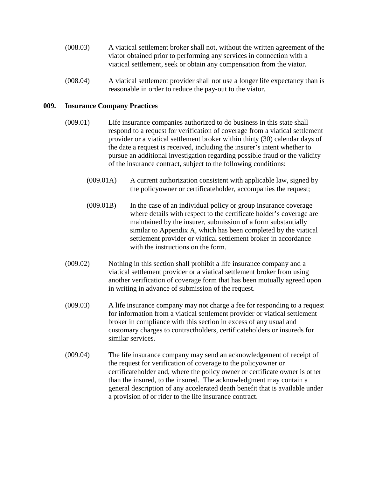- (008.03) A viatical settlement broker shall not, without the written agreement of the viator obtained prior to performing any services in connection with a viatical settlement, seek or obtain any compensation from the viator.
- (008.04) A viatical settlement provider shall not use a longer life expectancy than is reasonable in order to reduce the pay-out to the viator.

## **009. Insurance Company Practices**

- (009.01) Life insurance companies authorized to do business in this state shall respond to a request for verification of coverage from a viatical settlement provider or a viatical settlement broker within thirty (30) calendar days of the date a request is received, including the insurer's intent whether to pursue an additional investigation regarding possible fraud or the validity of the insurance contract, subject to the following conditions:
	- (009.01A) A current authorization consistent with applicable law, signed by the policyowner or certificateholder, accompanies the request;
	- (009.01B) In the case of an individual policy or group insurance coverage where details with respect to the certificate holder's coverage are maintained by the insurer, submission of a form substantially similar to Appendix A, which has been completed by the viatical settlement provider or viatical settlement broker in accordance with the instructions on the form.
- (009.02) Nothing in this section shall prohibit a life insurance company and a viatical settlement provider or a viatical settlement broker from using another verification of coverage form that has been mutually agreed upon in writing in advance of submission of the request.
- (009.03) A life insurance company may not charge a fee for responding to a request for information from a viatical settlement provider or viatical settlement broker in compliance with this section in excess of any usual and customary charges to contractholders, certificateholders or insureds for similar services.
- (009.04) The life insurance company may send an acknowledgement of receipt of the request for verification of coverage to the policyowner or certificateholder and, where the policy owner or certificate owner is other than the insured, to the insured. The acknowledgment may contain a general description of any accelerated death benefit that is available under a provision of or rider to the life insurance contract.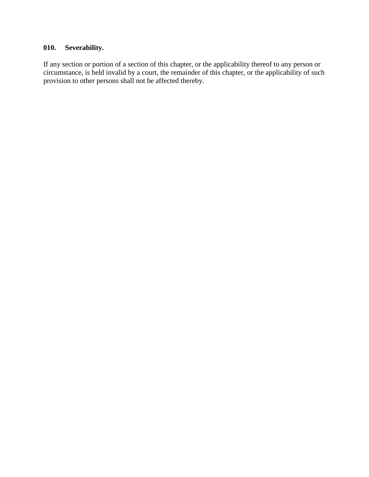## **010. Severability.**

If any section or portion of a section of this chapter, or the applicability thereof to any person or circumstance, is held invalid by a court, the remainder of this chapter, or the applicability of such provision to other persons shall not be affected thereby.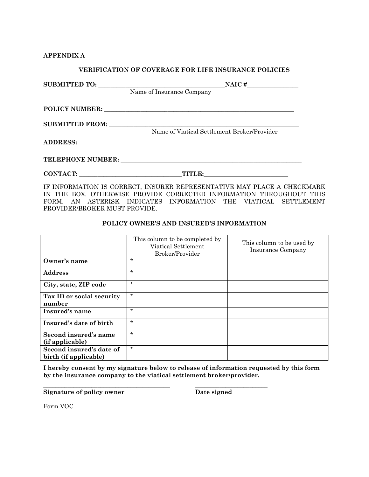### **APPENDIX A**

### **VERIFICATION OF COVERAGE FOR LIFE INSURANCE POLICIES**

|          | Name of Insurance Company                               |  |  |  |
|----------|---------------------------------------------------------|--|--|--|
|          |                                                         |  |  |  |
|          | Name of Viatical Settlement Broker/Provider             |  |  |  |
|          |                                                         |  |  |  |
|          |                                                         |  |  |  |
| CONTACT: | TITLE:<br><u> 1980 - Andrea Andrew Maria (h. 1980).</u> |  |  |  |

IF INFORMATION IS CORRECT, INSURER REPRESENTATIVE MAY PLACE A CHECKMARK IN THE BOX. OTHERWISE PROVIDE CORRECTED INFORMATION THROUGHOUT THIS FORM. AN ASTERISK INDICATES INFORMATION THE VIATICAL SETTLEMENT PROVIDER/BROKER MUST PROVIDE.

### **POLICY OWNER'S AND INSURED'S INFORMATION**

|                                                   | This column to be completed by<br>Viatical Settlement<br>Broker/Provider | This column to be used by<br>Insurance Company |  |  |
|---------------------------------------------------|--------------------------------------------------------------------------|------------------------------------------------|--|--|
| Owner's name                                      | $\star$                                                                  |                                                |  |  |
| <b>Address</b>                                    | $\star$                                                                  |                                                |  |  |
| City, state, ZIP code                             | $\star$                                                                  |                                                |  |  |
| Tax ID or social security<br>number               | $\star$                                                                  |                                                |  |  |
| Insured's name                                    | $\star$                                                                  |                                                |  |  |
| Insured's date of birth                           | $\star$                                                                  |                                                |  |  |
| Second insured's name<br>(if applicable)          | $\star$                                                                  |                                                |  |  |
| Second insured's date of<br>birth (if applicable) | $\star$                                                                  |                                                |  |  |

**I hereby consent by my signature below to release of information requested by this form by the insurance company to the viatical settlement broker/provider.**

**\_\_\_\_\_\_\_\_\_\_\_\_\_\_\_\_\_\_\_\_\_\_\_\_\_\_\_\_\_\_\_\_\_\_\_\_\_\_\_\_\_\_ \_\_\_\_\_\_\_\_\_\_\_\_\_\_\_\_\_\_\_\_\_\_\_\_**

**Signature of policy owner Date signed** 

Form VOC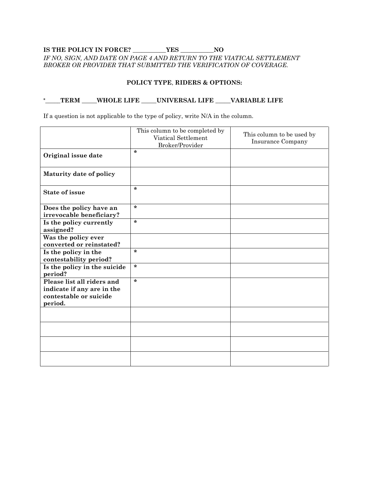### **IS THE POLICY IN FORCE? \_\_\_\_\_\_\_\_\_\_\_YES \_\_\_\_\_\_\_\_\_\_\_NO** *IF NO, SIGN, AND DATE ON PAGE 4 AND RETURN TO THE VIATICAL SETTLEMENT BROKER OR PROVIDER THAT SUBMITTED THE VERIFICATION OF COVERAGE.*

### **POLICY TYPE**, **RIDERS & OPTIONS:**

# **\*\_\_\_\_\_TERM \_\_\_\_\_WHOLE LIFE \_\_\_\_\_UNIVERSAL LIFE \_\_\_\_\_VARIABLE LIFE**

If a question is not applicable to the type of policy, write N/A in the column.

|                                                                                               | This column to be completed by<br>Viatical Settlement<br>Broker/Provider | This column to be used by<br><b>Insurance Company</b> |
|-----------------------------------------------------------------------------------------------|--------------------------------------------------------------------------|-------------------------------------------------------|
| Original issue date                                                                           | $\star$                                                                  |                                                       |
| <b>Maturity date of policy</b>                                                                |                                                                          |                                                       |
| <b>State of issue</b>                                                                         | $\star$                                                                  |                                                       |
| Does the policy have an<br>irrevocable beneficiary?                                           | $\star$                                                                  |                                                       |
| Is the policy currently<br>assigned?                                                          | $\star$                                                                  |                                                       |
| Was the policy ever<br>converted or reinstated?                                               |                                                                          |                                                       |
| Is the policy in the<br>contestability period?                                                | $\star$                                                                  |                                                       |
| Is the policy in the suicide<br>period?                                                       | $\star$                                                                  |                                                       |
| Please list all riders and<br>indicate if any are in the<br>contestable or suicide<br>period. | $\star$                                                                  |                                                       |
|                                                                                               |                                                                          |                                                       |
|                                                                                               |                                                                          |                                                       |
|                                                                                               |                                                                          |                                                       |
|                                                                                               |                                                                          |                                                       |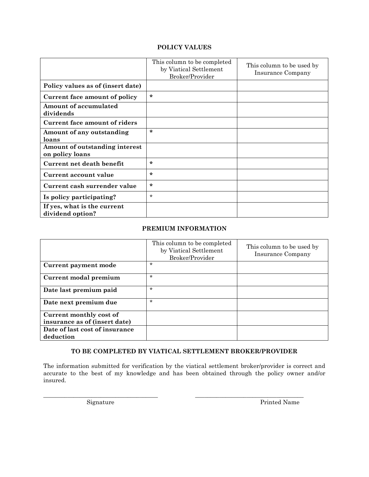## **POLICY VALUES**

|                                                   | This column to be completed<br>by Viatical Settlement<br>Broker/Provider | This column to be used by<br><b>Insurance Company</b> |
|---------------------------------------------------|--------------------------------------------------------------------------|-------------------------------------------------------|
| Policy values as of (insert date)                 |                                                                          |                                                       |
| Current face amount of policy                     | $\star$                                                                  |                                                       |
| <b>Amount of accumulated</b><br>dividends         |                                                                          |                                                       |
| <b>Current face amount of riders</b>              |                                                                          |                                                       |
| Amount of any outstanding<br>loans                | $\star$                                                                  |                                                       |
| Amount of outstanding interest<br>on policy loans |                                                                          |                                                       |
| Current net death benefit                         | ÷                                                                        |                                                       |
| Current account value                             | $\ast$                                                                   |                                                       |
| Current cash surrender value                      | $\ast$                                                                   |                                                       |
| Is policy participating?                          | $\star$                                                                  |                                                       |
| If yes, what is the current<br>dividend option?   |                                                                          |                                                       |

## **PREMIUM INFORMATION**

|                                | This column to be completed<br>by Viatical Settlement<br>Broker/Provider | This column to be used by<br><b>Insurance Company</b> |  |  |
|--------------------------------|--------------------------------------------------------------------------|-------------------------------------------------------|--|--|
| Current payment mode           | $\star$                                                                  |                                                       |  |  |
| Current modal premium          | $\star$                                                                  |                                                       |  |  |
| Date last premium paid         | $\star$                                                                  |                                                       |  |  |
| Date next premium due          | $\star$                                                                  |                                                       |  |  |
| Current monthly cost of        |                                                                          |                                                       |  |  |
| insurance as of (insert date)  |                                                                          |                                                       |  |  |
| Date of last cost of insurance |                                                                          |                                                       |  |  |
| deduction                      |                                                                          |                                                       |  |  |

## **TO BE COMPLETED BY VIATICAL SETTLEMENT BROKER/PROVIDER**

The information submitted for verification by the viatical settlement broker/provider is correct and accurate to the best of my knowledge and has been obtained through the policy owner and/or insured.

\_\_\_\_\_\_\_\_\_\_\_\_\_\_\_\_\_\_\_\_\_\_\_\_\_\_\_\_\_\_\_\_\_\_\_\_\_\_ \_\_\_\_\_\_\_\_\_\_\_\_\_\_\_\_\_\_\_\_\_\_\_\_\_\_\_\_\_\_\_\_\_\_\_\_

Signature Printed Name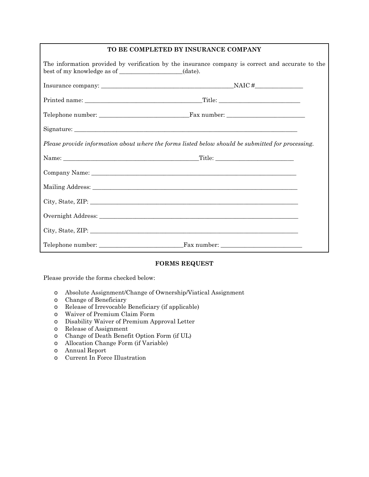### **TO BE COMPLETED BY INSURANCE COMPANY**

| The information provided by verification by the insurance company is correct and accurate to the  |  |
|---------------------------------------------------------------------------------------------------|--|
|                                                                                                   |  |
|                                                                                                   |  |
|                                                                                                   |  |
|                                                                                                   |  |
| Please provide information about where the forms listed below should be submitted for processing. |  |
|                                                                                                   |  |
|                                                                                                   |  |
|                                                                                                   |  |
|                                                                                                   |  |
|                                                                                                   |  |
| City, State, ZIP:                                                                                 |  |
|                                                                                                   |  |

### **FORMS REQUEST**

Please provide the forms checked below:

- o Absolute Assignment/Change of Ownership/Viatical Assignment
- o Change of Beneficiary
- Release of Irrevocable Beneficiary (if applicable)
- o Waiver of Premium Claim Form
- Disability Waiver of Premium Approval Letter
- o Release of Assignment
- o Change of Death Benefit Option Form (if UL)
- o Allocation Change Form (if Variable)
- o Annual Report
- Current In Force Illustration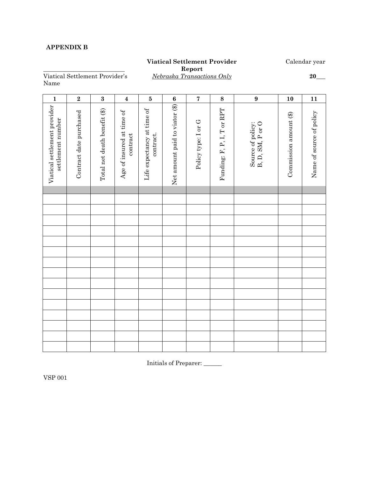## **APPENDIX B**

## **Viatical Settlement Provider**

Calendar year

**Report**

\_\_\_\_\_\_\_\_\_\_\_\_\_\_\_\_\_\_\_\_\_\_\_\_\_\_\_ Viatical Settlement Provider's Name

*Nebraska Transactions Only* **20\_\_\_**

| $\mathbf{1}$                                      | $\bf 2$                 | $\bf 3$                      | $\boldsymbol{4}$                      | $\bf 5$                                 | $\bf{6}$                       | $\bf 7$             | $\bf 8$                    | $\boldsymbol{9}$                      | 10                     | 11                       |
|---------------------------------------------------|-------------------------|------------------------------|---------------------------------------|-----------------------------------------|--------------------------------|---------------------|----------------------------|---------------------------------------|------------------------|--------------------------|
| Viatical settlement provider<br>settlement number | Contract date purchased | Total net death benefit (\$) | Age of insured at time of<br>contract | Life expectancy at time of<br>contract. | Net amount paid to viator (\$) | Policy type: I or G | Funding: F, P, I, T or RPT | B, D, SM, P or O<br>Source of policy: | Commission amount (\$) | Name of source of policy |
|                                                   |                         |                              |                                       |                                         |                                |                     |                            |                                       |                        |                          |
|                                                   |                         |                              |                                       |                                         |                                |                     |                            |                                       |                        |                          |
|                                                   |                         |                              |                                       |                                         |                                |                     |                            |                                       |                        |                          |
|                                                   |                         |                              |                                       |                                         |                                |                     |                            |                                       |                        |                          |
|                                                   |                         |                              |                                       |                                         |                                |                     |                            |                                       |                        |                          |
|                                                   |                         |                              |                                       |                                         |                                |                     |                            |                                       |                        |                          |
|                                                   |                         |                              |                                       |                                         |                                |                     |                            |                                       |                        |                          |
|                                                   |                         |                              |                                       |                                         |                                |                     |                            |                                       |                        |                          |
|                                                   |                         |                              |                                       |                                         |                                |                     |                            |                                       |                        |                          |
|                                                   |                         |                              |                                       |                                         |                                |                     |                            |                                       |                        |                          |
|                                                   |                         |                              |                                       |                                         |                                |                     |                            |                                       |                        |                          |
|                                                   |                         |                              |                                       |                                         |                                |                     |                            |                                       |                        |                          |
|                                                   |                         |                              |                                       |                                         |                                |                     |                            |                                       |                        |                          |
|                                                   |                         |                              |                                       |                                         |                                |                     |                            |                                       |                        |                          |
|                                                   |                         |                              |                                       |                                         |                                |                     |                            |                                       |                        |                          |

Initials of Preparer: \_\_\_\_\_\_

VSP 001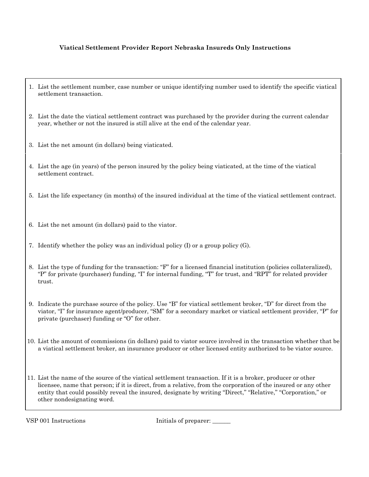### **Viatical Settlement Provider Report Nebraska Insureds Only Instructions**

- 1. List the settlement number, case number or unique identifying number used to identify the specific viatical settlement transaction.
- 2. List the date the viatical settlement contract was purchased by the provider during the current calendar year, whether or not the insured is still alive at the end of the calendar year.
- 3. List the net amount (in dollars) being viaticated.
- 4. List the age (in years) of the person insured by the policy being viaticated, at the time of the viatical settlement contract.
- 5. List the life expectancy (in months) of the insured individual at the time of the viatical settlement contract.
- 6. List the net amount (in dollars) paid to the viator.
- 7. Identify whether the policy was an individual policy (I) or a group policy (G).
- 8. List the type of funding for the transaction: "F" for a licensed financial institution (policies collateralized), "P" for private (purchaser) funding, "I" for internal funding, "T" for trust, and "RPT" for related provider trust.
- 9. Indicate the purchase source of the policy. Use "B" for viatical settlement broker, "D" for direct from the viator, "I" for insurance agent/producer, "SM" for a secondary market or viatical settlement provider, "P" for private (purchaser) funding or "O" for other.
- 10. List the amount of commissions (in dollars) paid to viator source involved in the transaction whether that be a viatical settlement broker, an insurance producer or other licensed entity authorized to be viator source.
- 11. List the name of the source of the viatical settlement transaction. If it is a broker, producer or other licensee, name that person; if it is direct, from a relative, from the corporation of the insured or any other entity that could possibly reveal the insured, designate by writing "Direct," "Relative," "Corporation," or other nondesignating word.

VSP 001 Instructions Initials of preparer: \_\_\_\_\_\_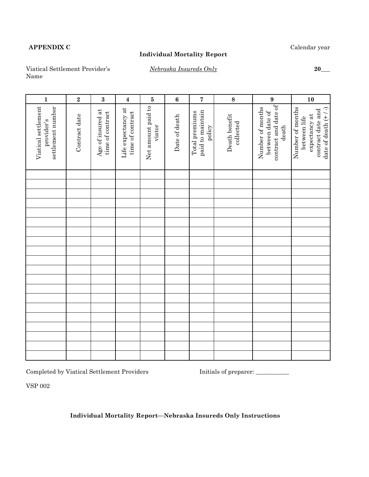## **APPENDIX C**

### **Individual Mortality Report**

Calendar year

Viatical Settlement Provider's Name

### *Nebraska Insureds Only* **20\_\_\_**

| $\mathbf{1}$                                           | $\overline{\mathbf{2}}$ | $\bf{3}$                              | $\boldsymbol{4}$                       | $\bf 5$                      | $\bf{6}$      | $\overline{\mathbf{7}}$                      | 8                          | $\boldsymbol{9}$                                                     | ${\bf 10}$                                                                                    |
|--------------------------------------------------------|-------------------------|---------------------------------------|----------------------------------------|------------------------------|---------------|----------------------------------------------|----------------------------|----------------------------------------------------------------------|-----------------------------------------------------------------------------------------------|
| Viatical settlement<br>settlement number<br>provider's | Contract date           | Age of insured at<br>time of contract | Life expectancy at<br>time of contract | Net amount paid to<br>viator | Date of death | paid to maintain<br>Total premiums<br>policy | Death benefit<br>collected | contract and date of<br>Number of months<br>between date of<br>death | Number of months<br>date of death $(+/$<br>contract date and<br>expectancy at<br>between life |
|                                                        |                         |                                       |                                        |                              |               |                                              |                            |                                                                      |                                                                                               |
|                                                        |                         |                                       |                                        |                              |               |                                              |                            |                                                                      |                                                                                               |
|                                                        |                         |                                       |                                        |                              |               |                                              |                            |                                                                      |                                                                                               |
|                                                        |                         |                                       |                                        |                              |               |                                              |                            |                                                                      |                                                                                               |
|                                                        |                         |                                       |                                        |                              |               |                                              |                            |                                                                      |                                                                                               |
|                                                        |                         |                                       |                                        |                              |               |                                              |                            |                                                                      |                                                                                               |
|                                                        |                         |                                       |                                        |                              |               |                                              |                            |                                                                      |                                                                                               |
|                                                        |                         |                                       |                                        |                              |               |                                              |                            |                                                                      |                                                                                               |
|                                                        |                         |                                       |                                        |                              |               |                                              |                            |                                                                      |                                                                                               |
|                                                        |                         |                                       |                                        |                              |               |                                              |                            |                                                                      |                                                                                               |
|                                                        |                         |                                       |                                        |                              |               |                                              |                            |                                                                      |                                                                                               |
|                                                        |                         |                                       |                                        |                              |               |                                              |                            |                                                                      |                                                                                               |
|                                                        |                         |                                       |                                        |                              |               |                                              |                            |                                                                      |                                                                                               |
|                                                        |                         |                                       |                                        |                              |               |                                              |                            |                                                                      |                                                                                               |
|                                                        |                         |                                       |                                        |                              |               |                                              |                            |                                                                      |                                                                                               |
|                                                        |                         |                                       |                                        |                              |               |                                              |                            |                                                                      |                                                                                               |
|                                                        |                         |                                       |                                        |                              |               |                                              |                            |                                                                      |                                                                                               |
|                                                        |                         |                                       |                                        |                              |               |                                              |                            |                                                                      |                                                                                               |
|                                                        |                         |                                       |                                        |                              |               |                                              |                            |                                                                      |                                                                                               |
|                                                        |                         |                                       |                                        |                              |               |                                              |                            |                                                                      |                                                                                               |

Completed by Viatical Settlement Providers Initials of preparer: \_\_\_\_\_\_\_\_\_\_\_\_\_\_\_

VSP 002

**Individual Mortality Report—Nebraska Insureds Only Instructions**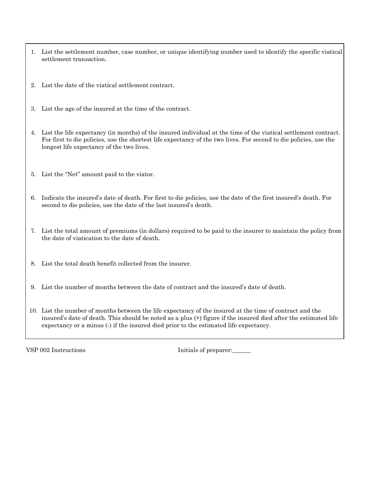- 1. List the settlement number, case number, or unique identifying number used to identify the specific viatical settlement transaction.
- 2. List the date of the viatical settlement contract.
- 3. List the age of the insured at the time of the contract.

4. List the life expectancy (in months) of the insured individual at the time of the viatical settlement contract. For first to die policies, use the shortest life expectancy of the two lives. For second to die policies, use the longest life expectancy of the two lives.

- 5. List the "Net" amount paid to the viator.
- 6. Indicate the insured's date of death. For first to die policies, use the date of the first insured's death. For second to die policies, use the date of the last insured's death.
- 7. List the total amount of premiums (in dollars) required to be paid to the insurer to maintain the policy from the date of viatication to the date of death.
- 8. List the total death benefit collected from the insurer.
- 9. List the number of months between the date of contract and the insured's date of death.
- 10. List the number of months between the life expectancy of the insured at the time of contract and the insured's date of death. This should be noted as a plus (+) figure if the insured died after the estimated life expectancy or a minus (-) if the insured died prior to the estimated life expectancy.

VSP 002 Instructions Initials of preparer: